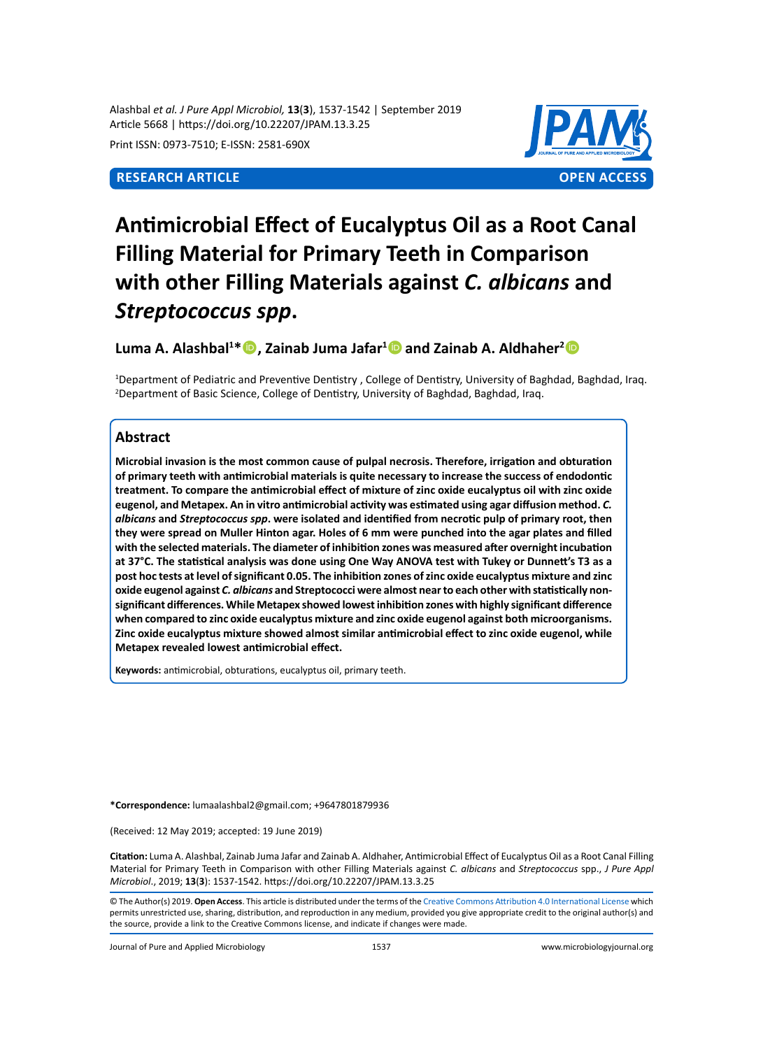Alashbal *et al. J Pure Appl Microbiol,* **13**(**3**), 1537-1542 | September 2019 Article 5668 | https://doi.org/10.22207/JPAM.13.3.25

Print ISSN: 0973-7510; E-ISSN: 2581-690X



# **Antimicrobial Effect of Eucalyptus Oil as a Root Canal Filling Material for Primary Teeth in Comparison with other Filling Materials against** *C. albicans* **and**  *Streptococcus spp***.**

# **Luma A. Alashbal<sup>1</sup> \*, Zainab Juma Jafar<sup>1</sup> and Zainab A. Aldhaher<sup>2</sup>**

1 Department of Pediatric and Preventive Dentistry , College of Dentistry, University of Baghdad, Baghdad, Iraq. 2 Department of Basic Science, College of Dentistry, University of Baghdad, Baghdad, Iraq.

# **Abstract**

**Microbial invasion is the most common cause of pulpal necrosis. Therefore, irrigation and obturation of primary teeth with antimicrobial materials is quite necessary to increase the success of endodontic treatment. To compare the antimicrobial effect of mixture of zinc oxide eucalyptus oil with zinc oxide eugenol, and Metapex. An in vitro antimicrobial activity was estimated using agar diffusion method.** *C. albicans* **and** *Streptococcus spp***. were isolated and identified from necrotic pulp of primary root, then they were spread on Muller Hinton agar. Holes of 6 mm were punched into the agar plates and filled with the selected materials. The diameter of inhibition zones was measured after overnight incubation at 37°C. The statistical analysis was done using One Way ANOVA test with Tukey or Dunnett's T3 as a post hoc tests at level of significant 0.05. The inhibition zones of zinc oxide eucalyptus mixture and zinc oxide eugenol against** *C. albicans* **and Streptococci were almost near to each other with statistically nonsignificant differences. While Metapex showed lowest inhibition zones with highly significant difference when compared to zinc oxide eucalyptus mixture and zinc oxide eugenol against both microorganisms. Zinc oxide eucalyptus mixture showed almost similar antimicrobial effect to zinc oxide eugenol, while Metapex revealed lowest antimicrobial effect.**

**Keywords:** antimicrobial, obturations, eucalyptus oil, primary teeth.

**\*Correspondence:** lumaalashbal2@gmail.com; +9647801879936

(Received: 12 May 2019; accepted: 19 June 2019)

**Citation:** Luma A. Alashbal, Zainab Juma Jafar and Zainab A. Aldhaher, Antimicrobial Effect of Eucalyptus Oil as a Root Canal Filling Material for Primary Teeth in Comparison with other Filling Materials against *C. albicans* and *Streptococcus* spp., *J Pure Appl Microbiol*., 2019; **13**(**3**): 1537-1542. https://doi.org/10.22207/JPAM.13.3.25

© The Author(s) 2019. **Open Access**. This article is distributed under the terms of the [Creative Commons Attribution 4.0 International License](https://creativecommons.org/licenses/by/4.0/) which permits unrestricted use, sharing, distribution, and reproduction in any medium, provided you give appropriate credit to the original author(s) and the source, provide a link to the Creative Commons license, and indicate if changes were made.

Journal of Pure and Applied Microbiology 1537 www.microbiologyjournal.org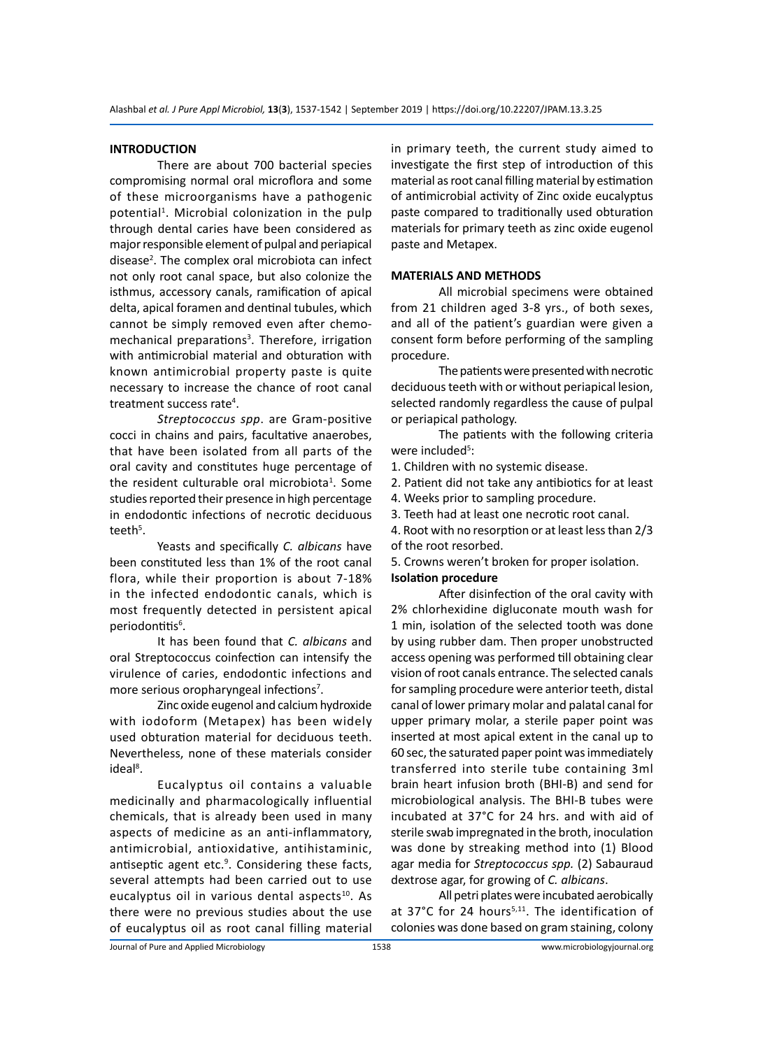#### **INTRODUCTION**

There are about 700 bacterial species compromising normal oral microflora and some of these microorganisms have a pathogenic potential<sup>1</sup>. Microbial colonization in the pulp through dental caries have been considered as major responsible element of pulpal and periapical disease<sup>2</sup>. The complex oral microbiota can infect not only root canal space, but also colonize the isthmus, accessory canals, ramification of apical delta, apical foramen and dentinal tubules, which cannot be simply removed even after chemomechanical preparations<sup>3</sup>. Therefore, irrigation with antimicrobial material and obturation with known antimicrobial property paste is quite necessary to increase the chance of root canal treatment success rate<sup>4</sup>.

*Streptococcus spp*. are Gram-positive cocci in chains and pairs, facultative anaerobes, that have been isolated from all parts of the oral cavity and constitutes huge percentage of the resident culturable oral microbiota<sup>1</sup>. Some studies reported their presence in high percentage in endodontic infections of necrotic deciduous teeth<sup>5</sup>.

Yeasts and specifically *C. albicans* have been constituted less than 1% of the root canal flora, while their proportion is about 7-18% in the infected endodontic canals, which is most frequently detected in persistent apical periodontitis<sup>6</sup>.

It has been found that *C. albicans* and oral Streptococcus coinfection can intensify the virulence of caries, endodontic infections and more serious oropharyngeal infections<sup>7</sup>.

Zinc oxide eugenol and calcium hydroxide with iodoform (Metapex) has been widely used obturation material for deciduous teeth. Nevertheless, none of these materials consider ideal<sup>8</sup>.

Eucalyptus oil contains a valuable medicinally and pharmacologically influential chemicals, that is already been used in many aspects of medicine as an anti-inflammatory, antimicrobial, antioxidative, antihistaminic, antiseptic agent etc.<sup>9</sup>. Considering these facts, several attempts had been carried out to use eucalyptus oil in various dental aspects<sup>10</sup>. As there were no previous studies about the use of eucalyptus oil as root canal filling material

in primary teeth, the current study aimed to investigate the first step of introduction of this material as root canal filling material by estimation of antimicrobial activity of Zinc oxide eucalyptus paste compared to traditionally used obturation materials for primary teeth as zinc oxide eugenol paste and Metapex.

#### **MATERIALS AND METHODS**

All microbial specimens were obtained from 21 children aged 3-8 yrs., of both sexes, and all of the patient's guardian were given a consent form before performing of the sampling procedure.

The patients were presented with necrotic deciduous teeth with or without periapical lesion, selected randomly regardless the cause of pulpal or periapical pathology.

The patients with the following criteria were included<sup>5</sup>:

1. Children with no systemic disease.

2. Patient did not take any antibiotics for at least

4. Weeks prior to sampling procedure.

3. Teeth had at least one necrotic root canal.

4. Root with no resorption or at least less than 2/3 of the root resorbed.

5. Crowns weren't broken for proper isolation. **Isolation procedure**

After disinfection of the oral cavity with 2% chlorhexidine digluconate mouth wash for 1 min, isolation of the selected tooth was done by using rubber dam. Then proper unobstructed access opening was performed till obtaining clear vision of root canals entrance. The selected canals for sampling procedure were anterior teeth, distal canal of lower primary molar and palatal canal for upper primary molar, a sterile paper point was inserted at most apical extent in the canal up to 60 sec, the saturated paper point was immediately transferred into sterile tube containing 3ml brain heart infusion broth (BHI-B) and send for microbiological analysis. The BHI-B tubes were incubated at 37°C for 24 hrs. and with aid of sterile swab impregnated in the broth, inoculation was done by streaking method into (1) Blood agar media for *Streptococcus spp.* (2) Sabauraud dextrose agar, for growing of *C. albicans*.

All petri plates were incubated aerobically at 37°C for 24 hours<sup>5,11</sup>. The identification of colonies was done based on gram staining, colony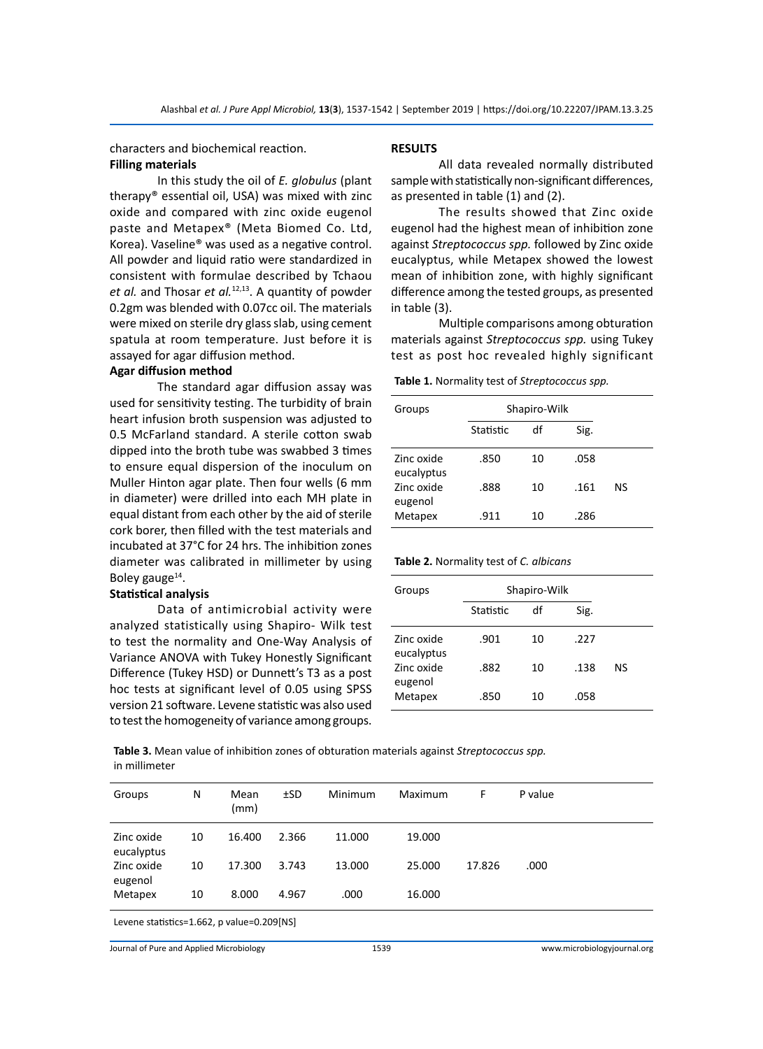characters and biochemical reaction.

## **Filling materials**

In this study the oil of *E. globulus* (plant therapy® essential oil, USA) was mixed with zinc oxide and compared with zinc oxide eugenol paste and Metapex® (Meta Biomed Co. Ltd, Korea). Vaseline® was used as a negative control. All powder and liquid ratio were standardized in consistent with formulae described by Tchaou *et al.* and Thosar *et al.*12,13. A quantity of powder 0.2gm was blended with 0.07cc oil. The materials were mixed on sterile dry glass slab, using cement spatula at room temperature. Just before it is assayed for agar diffusion method.

### **Agar diffusion method**

The standard agar diffusion assay was used for sensitivity testing. The turbidity of brain heart infusion broth suspension was adjusted to 0.5 McFarland standard. A sterile cotton swab dipped into the broth tube was swabbed 3 times to ensure equal dispersion of the inoculum on Muller Hinton agar plate. Then four wells (6 mm in diameter) were drilled into each MH plate in equal distant from each other by the aid of sterile cork borer, then filled with the test materials and incubated at 37°C for 24 hrs. The inhibition zones diameter was calibrated in millimeter by using Boley gauge<sup>14</sup>.

#### **Statistical analysis**

Data of antimicrobial activity were analyzed statistically using Shapiro- Wilk test to test the normality and One-Way Analysis of Variance ANOVA with Tukey Honestly Significant Difference (Tukey HSD) or Dunnett's T3 as a post hoc tests at significant level of 0.05 using SPSS version 21 software. Levene statistic was also used to test the homogeneity of variance among groups.

#### **RESULTS**

All data revealed normally distributed sample with statistically non-significant differences, as presented in table (1) and (2).

The results showed that Zinc oxide eugenol had the highest mean of inhibition zone against *Streptococcus spp.* followed by Zinc oxide eucalyptus, while Metapex showed the lowest mean of inhibition zone, with highly significant difference among the tested groups, as presented in table (3).

Multiple comparisons among obturation materials against *Streptococcus spp.* using Tukey test as post hoc revealed highly significant

**Table 1.** Normality test of *Streptococcus spp.*

| Groups                   | Shapiro-Wilk |    |      |    |
|--------------------------|--------------|----|------|----|
|                          | Statistic    | df | Sig. |    |
| Zinc oxide<br>eucalyptus | .850         | 10 | .058 |    |
| Zinc oxide<br>eugenol    | .888         | 10 | .161 | ΝS |
| Metapex                  | .911         | 10 | .286 |    |

| Table 2. Normality test of C. albicans |  |  |  |  |
|----------------------------------------|--|--|--|--|
|----------------------------------------|--|--|--|--|

| Groups                   | Shapiro-Wilk |    |      |    |  |
|--------------------------|--------------|----|------|----|--|
|                          | Statistic    | df | Sig. |    |  |
| Zinc oxide<br>eucalyptus | .901         | 10 | .227 |    |  |
| Zinc oxide<br>eugenol    | .882         | 10 | .138 | ΝS |  |
| Metapex                  | .850         | 10 | .058 |    |  |
|                          |              |    |      |    |  |

**Table 3.** Mean value of inhibition zones of obturation materials against *Streptococcus spp.* in millimeter

| Groups                                     | N  | Mean<br>(mm) | ±SD   | <b>Minimum</b> | Maximum | F      | P value |  |
|--------------------------------------------|----|--------------|-------|----------------|---------|--------|---------|--|
| Zinc oxide<br>eucalyptus                   | 10 | 16.400       | 2.366 | 11.000         | 19.000  |        |         |  |
| Zinc oxide<br>eugenol                      | 10 | 17.300       | 3.743 | 13.000         | 25.000  | 17.826 | .000    |  |
| Metapex                                    | 10 | 8.000        | 4.967 | .000           | 16.000  |        |         |  |
| Levene statistics=1.662, p value=0.209[NS] |    |              |       |                |         |        |         |  |

Journal of Pure and Applied Microbiology 1539 www.microbiologyjournal.org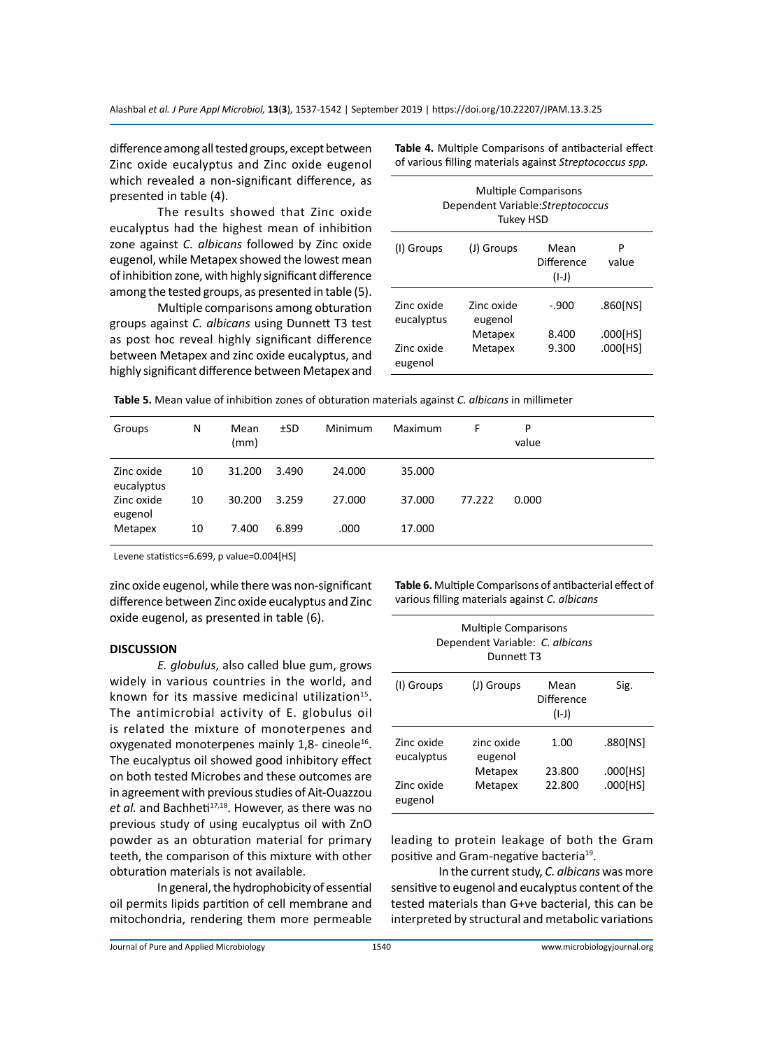difference among all tested groups, except between Zinc oxide eucalyptus and Zinc oxide eugenol which revealed a non-significant difference, as presented in table (4).

The results showed that Zinc oxide eucalyptus had the highest mean of inhibition zone against *C. albicans* followed by Zinc oxide eugenol, while Metapex showed the lowest mean of inhibition zone, with highly significant difference among the tested groups, as presented in table (5).

Multiple comparisons among obturation groups against *C. albicans* using Dunnett T3 test as post hoc reveal highly significant difference between Metapex and zinc oxide eucalyptus, and highly significant difference between Metapex and **Table 4.** Multiple Comparisons of antibacterial effect of various filling materials against *Streptococcus spp.*

| <b>Multiple Comparisons</b><br>Dependent Variable: Streptococcus<br>Tukey HSD |                                  |                               |                      |  |  |  |
|-------------------------------------------------------------------------------|----------------------------------|-------------------------------|----------------------|--|--|--|
| (I) Groups                                                                    | (J) Groups                       | Mean<br>Difference<br>$(I-J)$ | P<br>value           |  |  |  |
| Zinc oxide<br>eucalyptus                                                      | Zinc oxide<br>eugenol            | $-.900$                       | .860[NS]             |  |  |  |
| Zinc oxide<br>eugenol                                                         | <b>Metapex</b><br><b>Metapex</b> | 8.400<br>9.300                | .000[HS]<br>.000[HS] |  |  |  |

**Table 5.** Mean value of inhibition zones of obturation materials against *C. albicans* in millimeter

| Groups                   | N  | Mean<br>(mm) | ±SD   | <b>Minimum</b> | Maximum | F      | P<br>value |  |
|--------------------------|----|--------------|-------|----------------|---------|--------|------------|--|
| Zinc oxide<br>eucalyptus | 10 | 31.200       | 3.490 | 24.000         | 35.000  |        |            |  |
| Zinc oxide<br>eugenol    | 10 | 30.200       | 3.259 | 27.000         | 37.000  | 77.222 | 0.000      |  |
| Metapex                  | 10 | 7.400        | 6.899 | .000           | 17.000  |        |            |  |

Levene statistics=6.699, p value=0.004[HS]

zinc oxide eugenol, while there was non-significant difference between Zinc oxide eucalyptus and Zinc oxide eugenol, as presented in table (6).

#### **DISCUSSION**

*E. globulus*, also called blue gum, grows widely in various countries in the world, and known for its massive medicinal utilization $15$ . The antimicrobial activity of E. globulus oil is related the mixture of monoterpenes and oxygenated monoterpenes mainly  $1,8$ - cineole<sup>16</sup>. The eucalyptus oil showed good inhibitory effect on both tested Microbes and these outcomes are in agreement with previous studies of Ait-Ouazzou et al. and Bachheti<sup>17,18</sup>. However, as there was no previous study of using eucalyptus oil with ZnO powder as an obturation material for primary teeth, the comparison of this mixture with other obturation materials is not available.

In general, the hydrophobicity of essential oil permits lipids partition of cell membrane and mitochondria, rendering them more permeable **Table 6.** Multiple Comparisons of antibacterial effect of various filling materials against *C. albicans*

| <b>Multiple Comparisons</b><br>Dependent Variable: C. albicans<br>Dunnett T3 |                       |                               |                      |  |  |  |  |
|------------------------------------------------------------------------------|-----------------------|-------------------------------|----------------------|--|--|--|--|
| (I) Groups                                                                   | (J) Groups            | Mean<br>Difference<br>$(I-J)$ | Sig.                 |  |  |  |  |
| Zinc oxide<br>eucalyptus                                                     | zinc oxide<br>eugenol | 1.00                          | .880[NS]             |  |  |  |  |
| Zinc oxide<br>eugenol                                                        | Metapex<br>Metapex    | 23.800<br>22.800              | .000[HS]<br>.000[HS] |  |  |  |  |

leading to protein leakage of both the Gram positive and Gram-negative bacteria19.

In the current study, *C. albicans* was more sensitive to eugenol and eucalyptus content of the tested materials than G+ve bacterial, this can be interpreted by structural and metabolic variations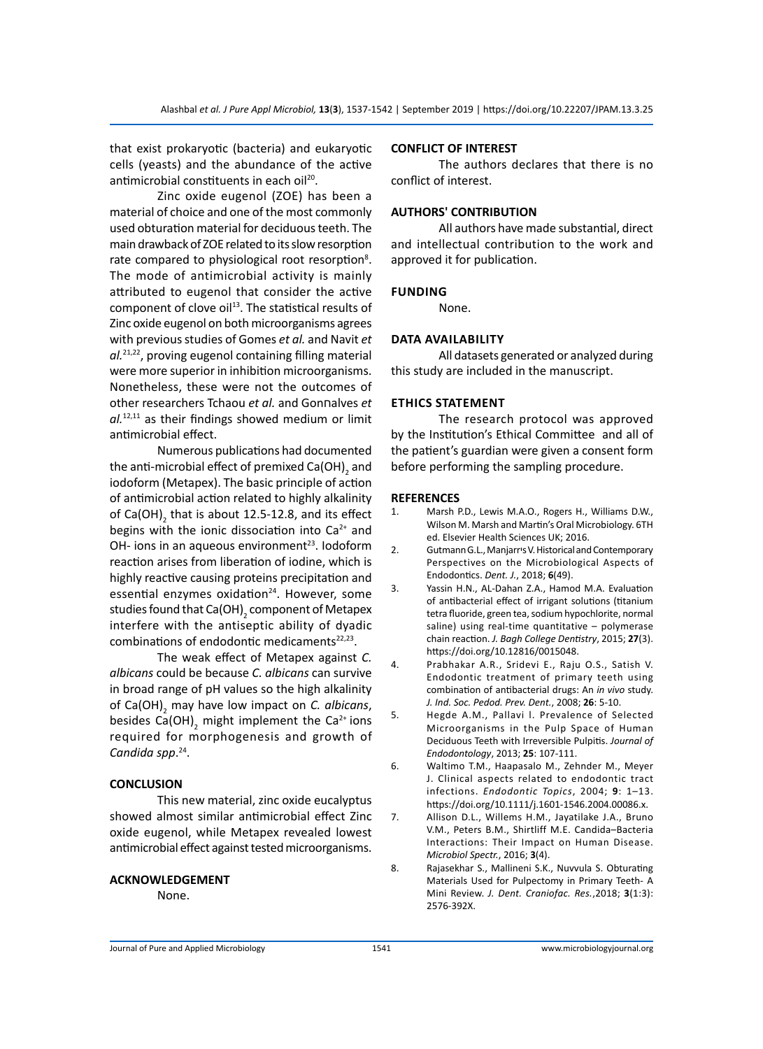that exist prokaryotic (bacteria) and eukaryotic cells (yeasts) and the abundance of the active antimicrobial constituents in each oil<sup>20</sup>.

Zinc oxide eugenol (ZOE) has been a material of choice and one of the most commonly used obturation material for deciduous teeth. The main drawback of ZOE related to its slow resorption rate compared to physiological root resorption<sup>8</sup>. The mode of antimicrobial activity is mainly attributed to eugenol that consider the active component of clove oil<sup>13</sup>. The statistical results of Zinc oxide eugenol on both microorganisms agrees with previous studies of Gomes *et al.* and Navit *et al.*21,22, proving eugenol containing filling material were more superior in inhibition microorganisms. Nonetheless, these were not the outcomes of other researchers Tchaou *et al.* and Gonחalves *et al.*12,11 as their findings showed medium or limit antimicrobial effect.

Numerous publications had documented the anti-microbial effect of premixed Ca(OH) $_{\rm 2}$  and iodoform (Metapex). The basic principle of action of antimicrobial action related to highly alkalinity of Ca(OH)<sub>2</sub> that is about 12.5-12.8, and its effect begins with the ionic dissociation into  $Ca<sup>2+</sup>$  and OH- ions in an aqueous environment $^{23}$ . Iodoform reaction arises from liberation of iodine, which is highly reactive causing proteins precipitation and essential enzymes oxidation $24$ . However, some studies found that Ca(OH) $_{\rm 2}$  component of Metapex interfere with the antiseptic ability of dyadic combinations of endodontic medicaments<sup>22,23</sup>.

The weak effect of Metapex against *C. albicans* could be because *C. albicans* can survive in broad range of pH values so the high alkalinity of Ca(OH)<sub>2</sub> may have low impact on *C. albicans*, besides  $Ca(OH)_{2}$  might implement the Ca<sup>2+</sup> ions required for morphogenesis and growth of *Candida spp*. 24.

#### **CONCLUSION**

This new material, zinc oxide eucalyptus showed almost similar antimicrobial effect Zinc oxide eugenol, while Metapex revealed lowest antimicrobial effect against tested microorganisms.

#### **ACKNOWLEDGEMENT**

None.

#### **CONFLICT OF INTEREST**

The authors declares that there is no conflict of interest.

#### **AUTHORS' CONTRIBUTION**

All authors have made substantial, direct and intellectual contribution to the work and approved it for publication.

#### **Funding**

None.

#### **Data availability**

All datasets generated or analyzed during this study are included in the manuscript.

#### **Ethics Statement**

The research protocol was approved by the Institution's Ethical Committee and all of the patient's guardian were given a consent form before performing the sampling procedure.

#### **REFERENCES**

- 1. Marsh P.D., Lewis M.A.O., Rogers H., Williams D.W., Wilson M. Marsh and Martin's Oral Microbiology. 6TH ed. Elsevier Health Sciences UK; 2016.
- 2. Gutmann G.L., Manjarrיs V. Historical and Contemporary Perspectives on the Microbiological Aspects of Endodontics. *Dent. J.*, 2018; **6**(49).
- 3. Yassin H.N., AL-Dahan Z.A., Hamod M.A. Evaluation of antibacterial effect of irrigant solutions (titanium tetra fluoride, green tea, sodium hypochlorite, normal saline) using real-time quantitative – polymerase chain reaction. *J. Bagh College Dentistry*, 2015; **27**(3). https://doi.org/10.12816/0015048.
- 4. Prabhakar A.R., Sridevi E., Raju O.S., Satish V. Endodontic treatment of primary teeth using combination of antibacterial drugs: An *in vivo* study. *J. Ind. Soc. Pedod. Prev. Dent.*, 2008; **26**: 5-10.
- 5. Hegde A.M., Pallavi l. Prevalence of Selected Microorganisms in the Pulp Space of Human Deciduous Teeth with Irreversible Pulpitis. *Journal of Endodontology*, 2013; **25**: 107-111.
- 6. Waltimo T.M., Haapasalo M., Zehnder M., Meyer J. Clinical aspects related to endodontic tract infections. *Endodontic Topics*, 2004; **9**: 1–13. https://doi.org/10.1111/j.1601-1546.2004.00086.x.
- 7. Allison D.L., Willems H.M., Jayatilake J.A., Bruno V.M., Peters B.M., Shirtliff M.E. Candida–Bacteria Interactions: Their Impact on Human Disease. *Microbiol Spectr.*, 2016; **3**(4).
- 8. Rajasekhar S., Mallineni S.K., Nuvvula S. Obturating Materials Used for Pulpectomy in Primary Teeth- A Mini Review. *J. Dent. Craniofac. Res.*,2018; **3**(1:3): 2576-392X.